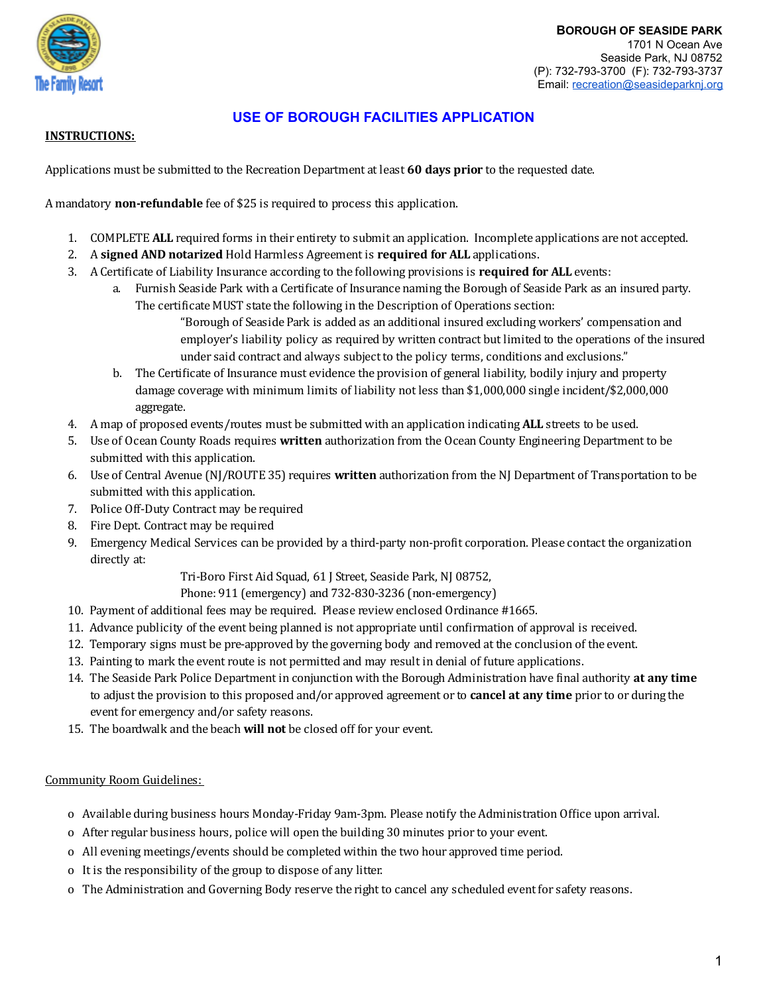

### **INSTRUCTIONS:**

Applications must be submitted to the Recreation Department at least **60 days prior** to the requested date.

A mandatory **non-refundable** fee of \$25 is required to process this application.

- 1. COMPLETE **ALL** required forms in their entirety to submit an application. Incomplete applications are not accepted.
- 2. A **signed AND notarized** Hold Harmless Agreement is **required for ALL** applications.
- 3. A Certiicate of Liability Insurance according to the following provisions is **required for ALL** events:
	- a. Furnish Seaside Park with a Certificate of Insurance naming the Borough of Seaside Park as an insured party. The certificate MUST state the following in the Description of Operations section:
		- "Borough of Seaside Park is added as an additional insured excluding workers' compensation and employer's liability policy as required by written contract but limited to the operations of the insured under said contract and always subject to the policy terms, conditions and exclusions."
	- b. The Certificate of Insurance must evidence the provision of general liability, bodily injury and property damage coverage with minimum limits of liability not less than \$1,000,000 single incident/\$2,000,000 aggregate.
- 4. A map of proposed events/routes must be submitted with an application indicating **ALL** streets to be used.
- 5. Use of Ocean County Roads requires **written** authorization from the Ocean County Engineering Department to be submitted with this application.
- 6. Use of Central Avenue (NJ/ROUTE 35) requires **written** authorization from the NJ Department of Transportation to be submitted with this application.
- 7. Police Off-Duty Contract may be required
- 8. Fire Dept. Contract may be required
- 9. Emergency Medical Services can be provided by a third-party non-proit corporation. Please contact the organization directly at:

Tri-Boro First Aid Squad, 61 J Street, Seaside Park, NJ 08752,

Phone: 911 (emergency) and 732-830-3236 (non-emergency)

- 10. Payment of additional fees may be required. Please review enclosed Ordinance #1665.
- 11. Advance publicity of the event being planned is not appropriate until conirmation of approval is received.
- 12. Temporary signs must be pre-approved by the governing body and removed at the conclusion of the event.
- 13. Painting to mark the event route is not permitted and may result in denial of future applications.
- 14. The Seaside Park Police Department in conjunction with the Borough Administration have inal authority **at any time** to adjust the provision to this proposed and/or approved agreement or to **cancel at any time** prior to or during the event for emergency and/or safety reasons.
- 15. The boardwalk and the beach **will not** be closed off for your event.

Community Room Guidelines:

- o Available during business hours Monday-Friday 9am-3pm. Please notify the Administration Ofice upon arrival.
- o After regular business hours, police will open the building 30 minutes prior to your event.
- o All evening meetings/events should be completed within the two hour approved time period.
- o It is the responsibility of the group to dispose of any litter.
- o The Administration and Governing Body reserve the right to cancel any scheduled event for safety reasons.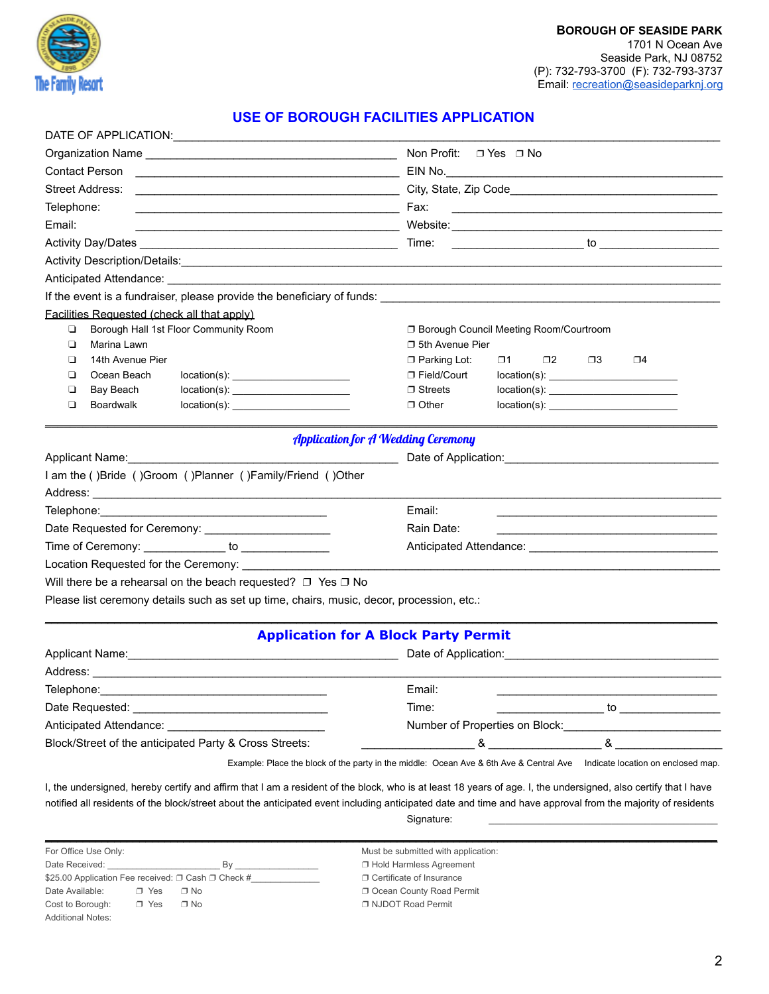

| Non Profit: $\Box$ Yes $\Box$ No            |                                                                                                                                                                                                                                                                                                                                                                                                            |  |
|---------------------------------------------|------------------------------------------------------------------------------------------------------------------------------------------------------------------------------------------------------------------------------------------------------------------------------------------------------------------------------------------------------------------------------------------------------------|--|
|                                             |                                                                                                                                                                                                                                                                                                                                                                                                            |  |
|                                             | <u> 1989 - Johann Barn, amerikansk politiker (d. 1989)</u>                                                                                                                                                                                                                                                                                                                                                 |  |
|                                             |                                                                                                                                                                                                                                                                                                                                                                                                            |  |
|                                             | $\sim$ to $\sim$ to $\sim$ to $\sim$ to $\sim$                                                                                                                                                                                                                                                                                                                                                             |  |
|                                             |                                                                                                                                                                                                                                                                                                                                                                                                            |  |
|                                             | Anticipated Attendance: <u>with a series of the series of the series of the series of the series of the series of the series of the series of the series of the series of the series of the series of the series of the series o</u>                                                                                                                                                                       |  |
|                                             |                                                                                                                                                                                                                                                                                                                                                                                                            |  |
|                                             |                                                                                                                                                                                                                                                                                                                                                                                                            |  |
|                                             | □ Borough Council Meeting Room/Courtroom                                                                                                                                                                                                                                                                                                                                                                   |  |
| □ 5th Avenue Pier                           |                                                                                                                                                                                                                                                                                                                                                                                                            |  |
| □ Parking Lot:                              | $\square$ 1<br>$\square$<br>□3<br>$\Box$ 4                                                                                                                                                                                                                                                                                                                                                                 |  |
| □ Field/Court                               | $location(s)$ :                                                                                                                                                                                                                                                                                                                                                                                            |  |
|                                             | location(s):                                                                                                                                                                                                                                                                                                                                                                                               |  |
|                                             | location(s):                                                                                                                                                                                                                                                                                                                                                                                               |  |
|                                             |                                                                                                                                                                                                                                                                                                                                                                                                            |  |
|                                             | Date of Application:                                                                                                                                                                                                                                                                                                                                                                                       |  |
|                                             |                                                                                                                                                                                                                                                                                                                                                                                                            |  |
|                                             |                                                                                                                                                                                                                                                                                                                                                                                                            |  |
| Email:                                      |                                                                                                                                                                                                                                                                                                                                                                                                            |  |
| Rain Date:                                  |                                                                                                                                                                                                                                                                                                                                                                                                            |  |
|                                             |                                                                                                                                                                                                                                                                                                                                                                                                            |  |
|                                             |                                                                                                                                                                                                                                                                                                                                                                                                            |  |
|                                             |                                                                                                                                                                                                                                                                                                                                                                                                            |  |
|                                             |                                                                                                                                                                                                                                                                                                                                                                                                            |  |
|                                             |                                                                                                                                                                                                                                                                                                                                                                                                            |  |
| <b>Application for A Block Party Permit</b> |                                                                                                                                                                                                                                                                                                                                                                                                            |  |
|                                             | Date of Application: National Action of Application:                                                                                                                                                                                                                                                                                                                                                       |  |
|                                             |                                                                                                                                                                                                                                                                                                                                                                                                            |  |
| Email:                                      |                                                                                                                                                                                                                                                                                                                                                                                                            |  |
| Time:                                       | $\overline{\phantom{a}}$ to $\overline{\phantom{a}}$                                                                                                                                                                                                                                                                                                                                                       |  |
|                                             |                                                                                                                                                                                                                                                                                                                                                                                                            |  |
|                                             | $8 \overline{)}$<br>8 <sub>1</sub>                                                                                                                                                                                                                                                                                                                                                                         |  |
|                                             | $\Box$ Streets<br>$\Box$ Other<br><b>Application for A Wedding Ceremony</b><br>Please list ceremony details such as set up time, chairs, music, decor, procession, etc.:<br>Applicant Name: Name: Name and Applicant Name and Applicant Name and Applicant Name and Applicant Applicant Applicant Applicant Applicant Applicant Applicant Applicant Applicant Applicant Applicant Applicant Applicant Appl |  |

I, the undersigned, hereby certify and affirm that I am a resident of the block, who is at least 18 years of age. I, the undersigned, also certify that I have notified all residents of the block/street about the anticipated event including anticipated date and time and have approval from the majority of residents Signature:

\_\_\_\_\_\_\_\_\_\_\_\_\_\_\_\_\_\_\_\_\_\_\_\_\_\_\_\_\_\_\_\_\_\_\_\_\_\_\_\_\_\_\_\_\_\_\_\_\_\_\_\_\_\_\_\_\_\_\_\_\_\_\_\_\_\_\_\_\_\_\_\_\_\_\_\_\_\_\_\_\_\_\_\_\_\_\_\_\_\_\_\_\_\_\_\_\_\_\_\_\_\_\_\_\_\_\_

For Office Use Only: The Submitted with application: Must be submitted with application: Date Received: \_\_\_\_\_\_\_\_\_\_\_\_\_\_\_\_\_\_\_\_\_\_\_ By \_\_\_\_\_\_\_\_\_\_\_\_\_\_\_\_\_ ❐ Hold Harmless Agreement \$25.00 Application Fee received: □ Cash □ Check #\_\_\_\_\_\_\_\_\_\_\_\_\_\_\_\_\_\_\_\_\_\_\_\_ □ Certificate of Insurance Date Available: ❐ Yes ❐ No ❐ Ocean County Road Permit Cost to Borough: ❐ Yes ❐ No ❐ NJDOT Road Permit Additional Notes: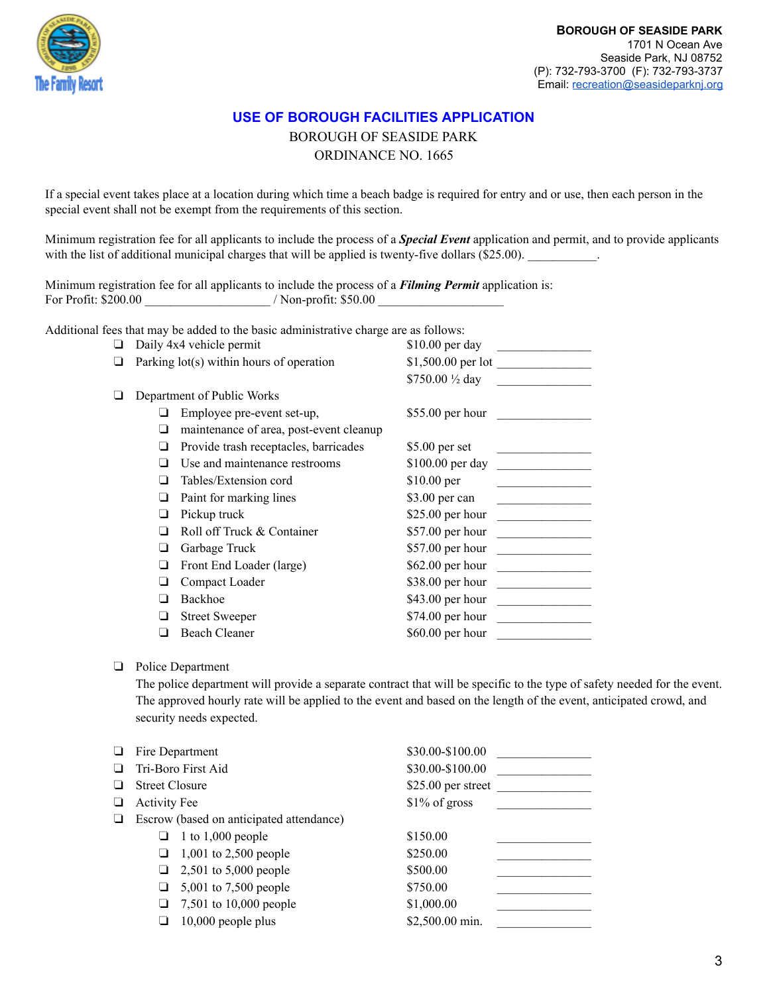

BOROUGH OF SEASIDE PARK

ORDINANCE NO. 1665

If a special event takes place at a location during which time a beach badge is required for entry and or use, then each person in the special event shall not be exempt from the requirements of this section.

Minimum registration fee for all applicants to include the process of a *Special Event* application and permit, and to provide applicants with the list of additional municipal charges that will be applied is twenty-five dollars (\$25.00).

Minimum registration fee for all applicants to include the process of a *Filming Permit* application is: For Profit: \$200.00  $\blacksquare$  / Non-profit: \$50.00

Additional fees that may be added to the basic administrative charge are as follows:

| ❏ | Daily 4x4 vehicle permit                 |                                         | \$10.00 per day   |
|---|------------------------------------------|-----------------------------------------|-------------------|
| ❏ | Parking lot(s) within hours of operation |                                         |                   |
|   |                                          |                                         | \$750.00 1/2 day  |
| ❏ |                                          | Department of Public Works              |                   |
|   |                                          | Employee pre-event set-up,              | $$55.00$ per hour |
|   | ❏                                        | maintenance of area, post-event cleanup |                   |
|   |                                          | Provide trash receptacles, barricades   | $$5.00$ per set   |
|   |                                          | Use and maintenance restrooms           | $$100.00$ per day |
|   |                                          | Tables/Extension cord                   | $$10.00$ per      |
|   | ப                                        | Paint for marking lines                 | \$3.00 per can    |
|   | ❏                                        | Pickup truck                            | \$25.00 per hour  |
|   |                                          | Roll off Truck & Container              | \$57.00 per hour  |
|   | □                                        | Garbage Truck                           | \$57.00 per hour  |
|   |                                          | Front End Loader (large)                | \$62.00 per hour  |
|   |                                          | Compact Loader                          | \$38.00 per hour  |
|   |                                          | Backhoe                                 | $$43.00$ per hour |
|   |                                          | <b>Street Sweeper</b>                   | $$74.00$ per hour |
|   |                                          | <b>Beach Cleaner</b>                    | \$60.00 per hour  |

#### ❏ Police Department

The police department will provide a separate contract that will be specific to the type of safety needed for the event. The approved hourly rate will be applied to the event and based on the length of the event, anticipated crowd, and security needs expected.

| ❏      | Fire Department       |                                          | \$30.00-\$100.00    |  |
|--------|-----------------------|------------------------------------------|---------------------|--|
| $\Box$ | Tri-Boro First Aid    |                                          | \$30.00-\$100.00    |  |
| ❏      | <b>Street Closure</b> |                                          | $$25.00$ per street |  |
| ❏      | <b>Activity Fee</b>   |                                          | $$1\%$ of gross     |  |
| ❏      |                       | Escrow (based on anticipated attendance) |                     |  |
|        |                       | $\Box$ 1 to 1,000 people                 | \$150.00            |  |
|        | ⊔                     | 1,001 to 2,500 people                    | \$250.00            |  |
|        | ⊔                     | 2,501 to 5,000 people                    | \$500.00            |  |
|        | ⊔                     | 5,001 to 7,500 people                    | \$750.00            |  |
|        | ⊔                     | 7,501 to 10,000 people                   | \$1,000.00          |  |
|        |                       | $10,000$ people plus                     | \$2,500.00 min.     |  |
|        |                       |                                          |                     |  |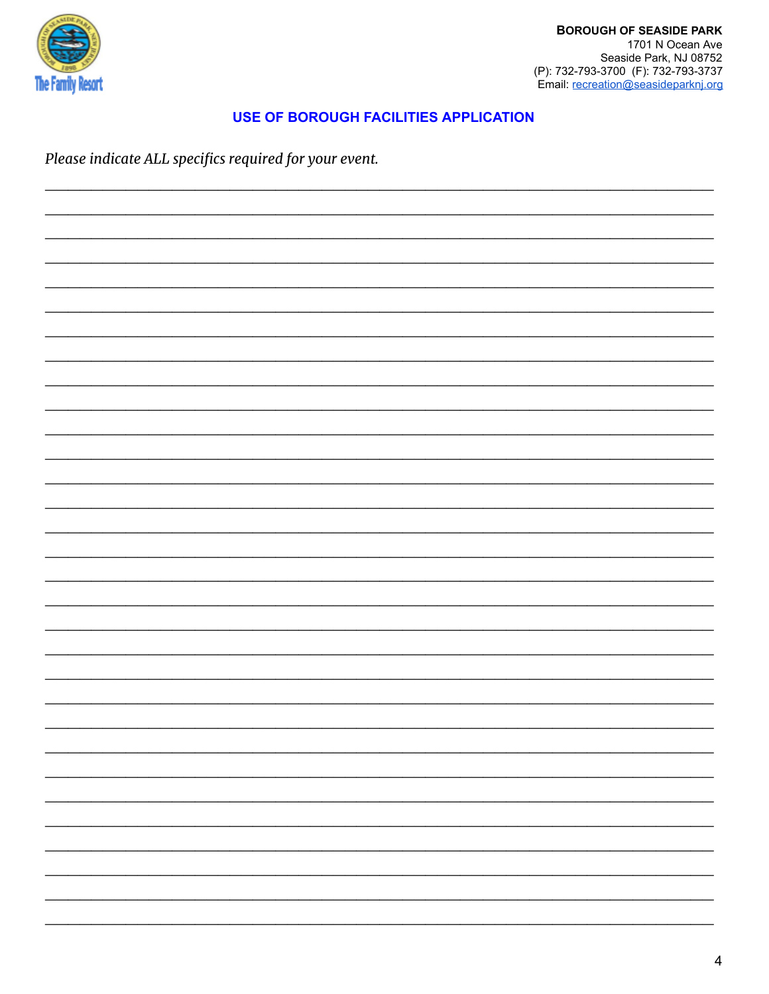

Please indicate ALL specifics required for your event.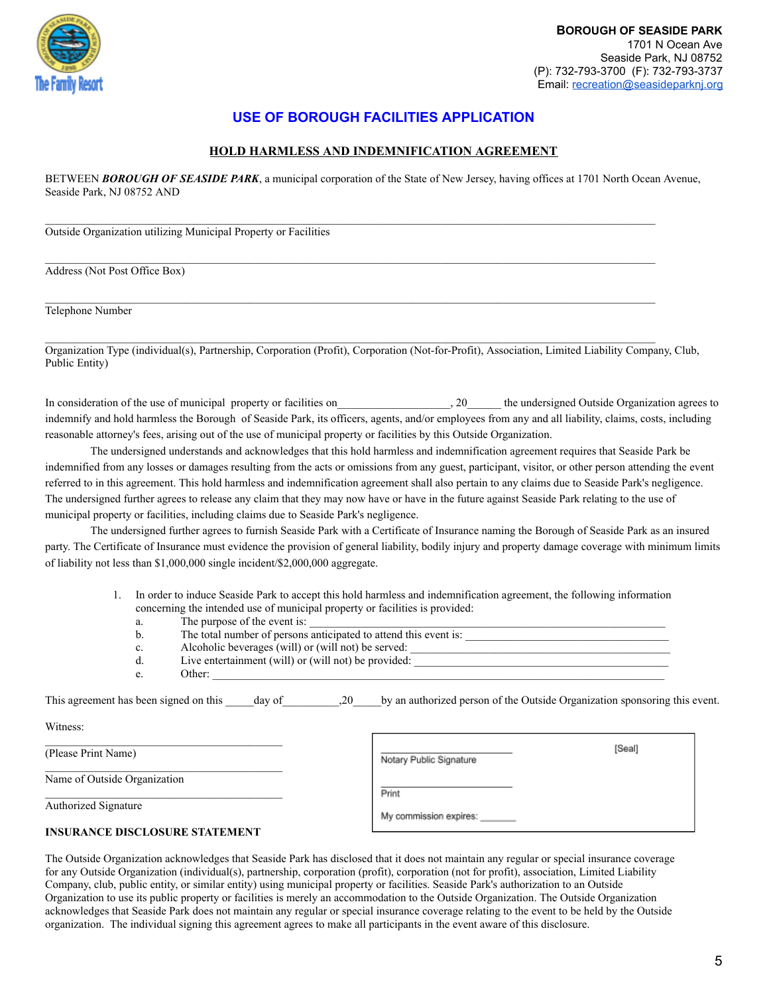

#### **HOLD HARMLESS AND INDEMNIFICATION AGREEMENT**

BETWEEN **BOROUGH OF SEASIDE PARK**, a municipal corporation of the State of New Jersey, having offices at 1701 North Ocean Avenue, Seaside Park, NJ 08752 AND

Outside Organization utilizing Municipal Property or Facilities

Address (Not Post Office Box)

Telephone Number

Organization Type (individual(s), Partnership, Corporation (Profit), Corporation (Not-for-Profit), Association, Limited Liability Company, Club, Public Entity)

In consideration of the use of municipal property or facilities on  $\qquad \qquad$ , 20  $\qquad$  the undersigned Outside Organization agrees to indemnify and hold harmless the Borough of Seaside Park, its officers, agents, and/or employees from any and all liability, claims, costs, including reasonable attorney's fees, arising out of the use of municipal property or facilities by this Outside Organization.

The undersigned understands and acknowledges that this hold harmless and indemnification agreement requires that Seaside Park be indemnified from any losses or damages resulting from the acts or omissions from any guest, participant, visitor, or other person attending the event referred to in this agreement. This hold harmless and indemnification agreement shall also pertain to any claims due to Seaside Park's negligence. The undersigned further agrees to release any claim that they may now have or have in the future against Seaside Park relating to the use of municipal property or facilities, including claims due to Seaside Park's negligence.

The undersigned further agrees to furnish Seaside Park with a Certificate of Insurance naming the Borough of Seaside Park as an insured party. The Certificate of Insurance must evidence the provision of general liability, bodily injury and property damage coverage with minimum limits of liability not less than \$1,000,000 single incident/\$2,000,000 aggregate.

> 1. In order to induce Seaside Park to accept this hold harmless and indemnification agreement, the following information concerning the intended use of municipal property or facilities is provided:

| a.             | The purpose of the event is:                                     |
|----------------|------------------------------------------------------------------|
| b.             | The total number of persons anticipated to attend this event is: |
| $\mathbf{c}$ . | Alcoholic beverages (will) or (will not) be served:              |
| d.             | Live entertainment (will) or (will not) be provided:             |
| e.             | Other:                                                           |

| $-1$<br>i signed on this<br>This agreement has been s<br>day |  | n authorized person of the Outside Organization si<br>hv<br>an | sponsoring<br>r this event. |
|--------------------------------------------------------------|--|----------------------------------------------------------------|-----------------------------|
|--------------------------------------------------------------|--|----------------------------------------------------------------|-----------------------------|

Witness:

(Please Print Name)

Name of Outside Organization

Authorized Signature

| Print<br>My commission expires: | Notary Public Signature | [Seal] |
|---------------------------------|-------------------------|--------|
|                                 |                         |        |
|                                 |                         |        |

#### **INSURANCE DISCLOSURE STATEMENT**

The Outside Organization acknowledges that Seaside Park has disclosed that it does not maintain any regular or special insurance coverage for any Outside Organization (individual(s), partnership, corporation (profit), corporation (not for profit), association, Limited Liability Company, club, public entity, or similar entity) using municipal property or facilities. Seaside Park's authorization to an Outside Organization to use its public property or facilities is merely an accommodation to the Outside Organization. The Outside Organization acknowledges that Seaside Park does not maintain any regular or special insurance coverage relating to the event to be held by the Outside organization. The individual signing this agreement agrees to make all participants in the event aware of this disclosure.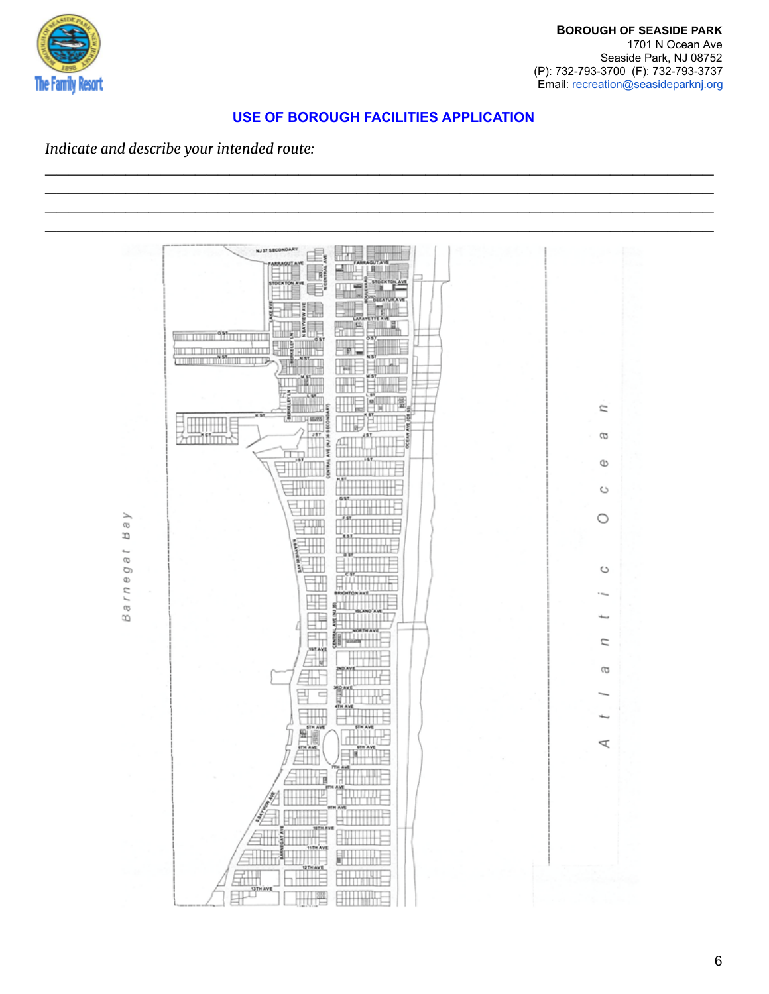

\_\_\_\_\_\_\_\_\_\_\_\_\_\_\_\_\_\_\_\_\_\_\_\_\_\_\_\_\_\_\_\_\_\_\_\_\_\_\_\_\_\_\_\_\_\_\_\_\_\_\_\_\_\_\_\_\_\_

# *Indicate and describe your intended route:*

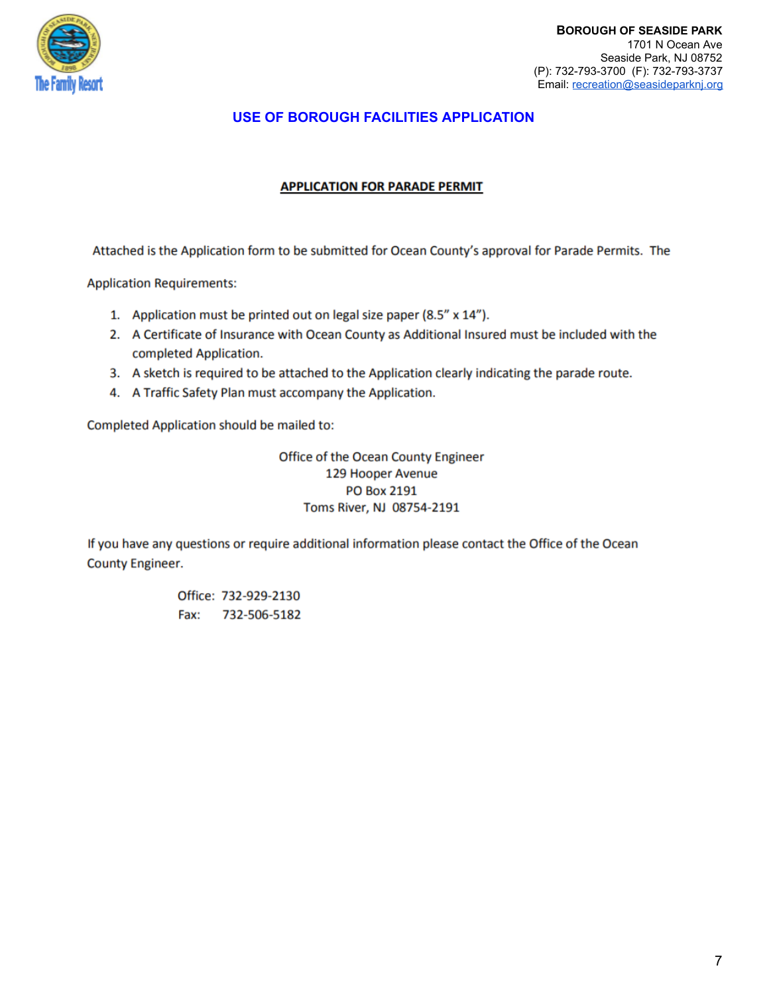

### **APPLICATION FOR PARADE PERMIT**

Attached is the Application form to be submitted for Ocean County's approval for Parade Permits. The

**Application Requirements:** 

- 1. Application must be printed out on legal size paper (8.5" x 14").
- 2. A Certificate of Insurance with Ocean County as Additional Insured must be included with the completed Application.
- 3. A sketch is required to be attached to the Application clearly indicating the parade route.
- 4. A Traffic Safety Plan must accompany the Application.

Completed Application should be mailed to:

Office of the Ocean County Engineer 129 Hooper Avenue **PO Box 2191** Toms River, NJ 08754-2191

If you have any questions or require additional information please contact the Office of the Ocean **County Engineer.** 

> Office: 732-929-2130 Fax: 732-506-5182